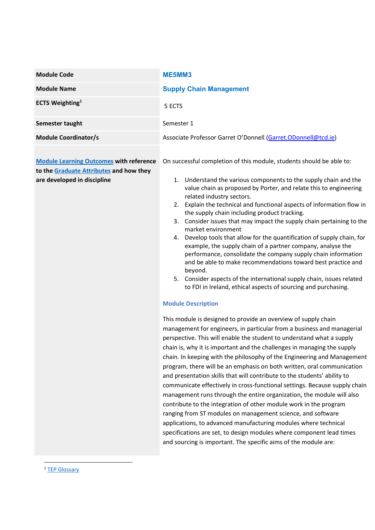| <b>Module Code</b>                                                                                                       | ME5MM3                                                                                                                                                                                                                                                                                                                                                                                                                                                                                                                                                                                                                                                                                                                                                                                                                                                                                                                                                                                                                                                                                                                                                                                                                                                                                                                                                                                                                                                             |  |  |  |
|--------------------------------------------------------------------------------------------------------------------------|--------------------------------------------------------------------------------------------------------------------------------------------------------------------------------------------------------------------------------------------------------------------------------------------------------------------------------------------------------------------------------------------------------------------------------------------------------------------------------------------------------------------------------------------------------------------------------------------------------------------------------------------------------------------------------------------------------------------------------------------------------------------------------------------------------------------------------------------------------------------------------------------------------------------------------------------------------------------------------------------------------------------------------------------------------------------------------------------------------------------------------------------------------------------------------------------------------------------------------------------------------------------------------------------------------------------------------------------------------------------------------------------------------------------------------------------------------------------|--|--|--|
| <b>Module Name</b>                                                                                                       | <b>Supply Chain Management</b>                                                                                                                                                                                                                                                                                                                                                                                                                                                                                                                                                                                                                                                                                                                                                                                                                                                                                                                                                                                                                                                                                                                                                                                                                                                                                                                                                                                                                                     |  |  |  |
| <b>ECTS Weighting</b> <sup>1</sup>                                                                                       | 5 ECTS                                                                                                                                                                                                                                                                                                                                                                                                                                                                                                                                                                                                                                                                                                                                                                                                                                                                                                                                                                                                                                                                                                                                                                                                                                                                                                                                                                                                                                                             |  |  |  |
| Semester taught                                                                                                          | Semester 1                                                                                                                                                                                                                                                                                                                                                                                                                                                                                                                                                                                                                                                                                                                                                                                                                                                                                                                                                                                                                                                                                                                                                                                                                                                                                                                                                                                                                                                         |  |  |  |
| <b>Module Coordinator/s</b>                                                                                              | Associate Professor Garret O'Donnell (Garret.ODonnell@tcd.ie)                                                                                                                                                                                                                                                                                                                                                                                                                                                                                                                                                                                                                                                                                                                                                                                                                                                                                                                                                                                                                                                                                                                                                                                                                                                                                                                                                                                                      |  |  |  |
| <b>Module Learning Outcomes with reference</b><br>to the Graduate Attributes and how they<br>are developed in discipline | On successful completion of this module, students should be able to:<br>1. Understand the various components to the supply chain and the<br>value chain as proposed by Porter, and relate this to engineering<br>related industry sectors.<br>2. Explain the technical and functional aspects of information flow in<br>the supply chain including product tracking.<br>3. Consider issues that may impact the supply chain pertaining to the<br>market environment<br>4. Develop tools that allow for the quantification of supply chain, for<br>example, the supply chain of a partner company, analyse the<br>performance, consolidate the company supply chain information<br>and be able to make recommendations toward best practice and<br>beyond.<br>5. Consider aspects of the international supply chain, issues related<br>to FDI in Ireland, ethical aspects of sourcing and purchasing.<br><b>Module Description</b><br>This module is designed to provide an overview of supply chain<br>management for engineers, in particular from a business and managerial<br>perspective. This will enable the student to understand what a supply<br>chain is, why it is important and the challenges in managing the supply<br>chain. In keeping with the philosophy of the Engineering and Management<br>program, there will be an emphasis on both written, oral communication<br>and presentation skills that will contribute to the students' ability to |  |  |  |
|                                                                                                                          | communicate effectively in cross-functional settings. Because supply chain<br>management runs through the entire organization, the module will also<br>contribute to the integration of other module work in the program<br>ranging from ST modules on management science, and software                                                                                                                                                                                                                                                                                                                                                                                                                                                                                                                                                                                                                                                                                                                                                                                                                                                                                                                                                                                                                                                                                                                                                                            |  |  |  |
|                                                                                                                          | applications, to advanced manufacturing modules where technical<br>specifications are set, to design modules where component lead times<br>and sourcing is important. The specific aims of the module are:                                                                                                                                                                                                                                                                                                                                                                                                                                                                                                                                                                                                                                                                                                                                                                                                                                                                                                                                                                                                                                                                                                                                                                                                                                                         |  |  |  |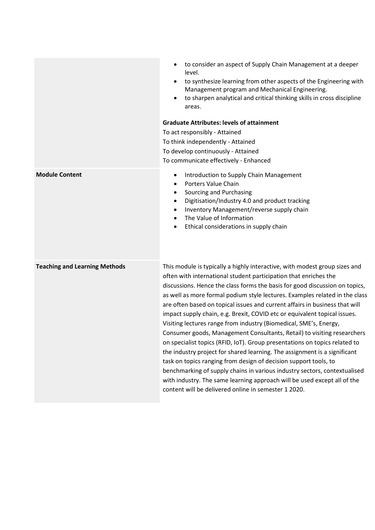|                                      | to consider an aspect of Supply Chain Management at a deeper<br>level.<br>to synthesize learning from other aspects of the Engineering with<br>Management program and Mechanical Engineering.<br>to sharpen analytical and critical thinking skills in cross discipline<br>areas.                                                                                                                                                                                                                                                                                                                                                                                                                                                                                                                                                                                                                                                                                                                                |  |  |  |  |
|--------------------------------------|------------------------------------------------------------------------------------------------------------------------------------------------------------------------------------------------------------------------------------------------------------------------------------------------------------------------------------------------------------------------------------------------------------------------------------------------------------------------------------------------------------------------------------------------------------------------------------------------------------------------------------------------------------------------------------------------------------------------------------------------------------------------------------------------------------------------------------------------------------------------------------------------------------------------------------------------------------------------------------------------------------------|--|--|--|--|
|                                      | <b>Graduate Attributes: levels of attainment</b>                                                                                                                                                                                                                                                                                                                                                                                                                                                                                                                                                                                                                                                                                                                                                                                                                                                                                                                                                                 |  |  |  |  |
|                                      | To act responsibly - Attained<br>To think independently - Attained                                                                                                                                                                                                                                                                                                                                                                                                                                                                                                                                                                                                                                                                                                                                                                                                                                                                                                                                               |  |  |  |  |
|                                      | To develop continuously - Attained                                                                                                                                                                                                                                                                                                                                                                                                                                                                                                                                                                                                                                                                                                                                                                                                                                                                                                                                                                               |  |  |  |  |
|                                      | To communicate effectively - Enhanced                                                                                                                                                                                                                                                                                                                                                                                                                                                                                                                                                                                                                                                                                                                                                                                                                                                                                                                                                                            |  |  |  |  |
| <b>Module Content</b>                | Introduction to Supply Chain Management<br>$\bullet$<br>Porters Value Chain<br>$\bullet$<br>Sourcing and Purchasing<br>$\bullet$<br>Digitisation/Industry 4.0 and product tracking<br>$\bullet$<br>Inventory Management/reverse supply chain<br>$\bullet$<br>The Value of Information<br>$\bullet$<br>Ethical considerations in supply chain<br>$\bullet$                                                                                                                                                                                                                                                                                                                                                                                                                                                                                                                                                                                                                                                        |  |  |  |  |
| <b>Teaching and Learning Methods</b> | This module is typically a highly interactive, with modest group sizes and<br>often with international student participation that enriches the<br>discussions. Hence the class forms the basis for good discussion on topics,<br>as well as more formal podium style lectures. Examples related in the class<br>are often based on topical issues and current affairs in business that will<br>impact supply chain, e.g. Brexit, COVID etc or equivalent topical issues.<br>Visiting lectures range from industry (Biomedical, SME's, Energy,<br>Consumer goods, Management Consultants, Retail) to visiting researchers<br>on specialist topics (RFID, IoT). Group presentations on topics related to<br>the industry project for shared learning. The assignment is a significant<br>task on topics ranging from design of decision support tools, to<br>benchmarking of supply chains in various industry sectors, contextualised<br>with industry. The same learning approach will be used except all of the |  |  |  |  |

content will be delivered online in semester 1 2020.